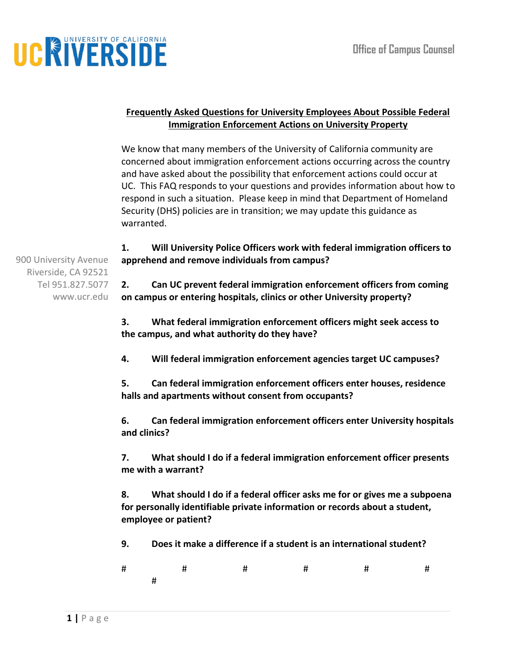# UCRIVERSIDE

#### **Frequently Asked Questions for University Employees About Possible Federal Immigration Enforcement Actions on University Property**

We know that many members of the University of California community are concerned about immigration enforcement actions occurring across the country and have asked about the possibility that enforcement actions could occur at UC. This FAQ responds to your questions and provides information about how to respond in such a situation. Please keep in mind that Department of Homeland Security (DHS) policies are in transition; we may update this guidance as warranted.

**1. Will University Police Officers work with federal immigration officers to apprehend and remove individuals from campus?** 

900 University Avenue Riverside, CA 92521 Tel 951.827.5077 www.ucr.edu

**2. Can UC prevent federal immigration enforcement officers from coming on campus or entering hospitals, clinics or other University property?**

**3. What federal immigration enforcement officers might seek access to the campus, and what authority do they have?**

**4. Will federal immigration enforcement agencies target UC campuses?**

**5. Can federal immigration enforcement officers enter houses, residence halls and apartments without consent from occupants?** 

**6. Can federal immigration enforcement officers enter University hospitals and clinics?**

**7. What should I do if a federal immigration enforcement officer presents me with a warrant?**

**8. What should I do if a federal officer asks me for or gives me a subpoena for personally identifiable private information or records about a student, employee or patient?** 

**9. Does it make a difference if a student is an international student?**

|               |  | # # # # # | $\overline{t}$ and $\overline{t}$ |  |
|---------------|--|-----------|-----------------------------------|--|
| $\frac{1}{2}$ |  |           |                                   |  |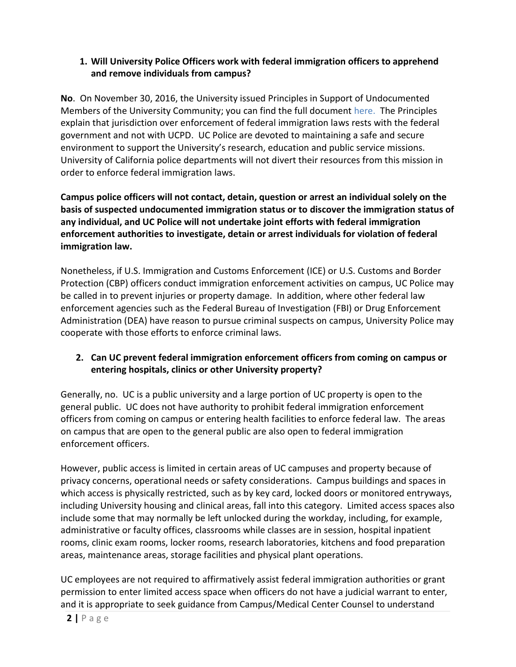#### **1. Will University Police Officers work with federal immigration officers to apprehend and remove individuals from campus?**

**No**. On November 30, 2016, the University issued Principles in Support of Undocumented Members of the University Community; you can find the full document [here.](https://www.universityofcalifornia.edu/sites/default/files/Statement-of-Principles-in-Support-of-Undocumented-Members-of-UC.pdf) The Principles explain that jurisdiction over enforcement of federal immigration laws rests with the federal government and not with UCPD. UC Police are devoted to maintaining a safe and secure environment to support the University's research, education and public service missions. University of California police departments will not divert their resources from this mission in order to enforce federal immigration laws.

**Campus police officers will not contact, detain, question or arrest an individual solely on the basis of suspected undocumented immigration status or to discover the immigration status of any individual, and UC Police will not undertake joint efforts with federal immigration enforcement authorities to investigate, detain or arrest individuals for violation of federal immigration law.** 

Nonetheless, if U.S. Immigration and Customs Enforcement (ICE) or U.S. Customs and Border Protection (CBP) officers conduct immigration enforcement activities on campus, UC Police may be called in to prevent injuries or property damage. In addition, where other federal law enforcement agencies such as the Federal Bureau of Investigation (FBI) or Drug Enforcement Administration (DEA) have reason to pursue criminal suspects on campus, University Police may cooperate with those efforts to enforce criminal laws.

## **2. Can UC prevent federal immigration enforcement officers from coming on campus or entering hospitals, clinics or other University property?**

Generally, no. UC is a public university and a large portion of UC property is open to the general public. UC does not have authority to prohibit federal immigration enforcement officers from coming on campus or entering health facilities to enforce federal law. The areas on campus that are open to the general public are also open to federal immigration enforcement officers.

However, public access is limited in certain areas of UC campuses and property because of privacy concerns, operational needs or safety considerations. Campus buildings and spaces in which access is physically restricted, such as by key card, locked doors or monitored entryways, including University housing and clinical areas, fall into this category. Limited access spaces also include some that may normally be left unlocked during the workday, including, for example, administrative or faculty offices, classrooms while classes are in session, hospital inpatient rooms, clinic exam rooms, locker rooms, research laboratories, kitchens and food preparation areas, maintenance areas, storage facilities and physical plant operations.

UC employees are not required to affirmatively assist federal immigration authorities or grant permission to enter limited access space when officers do not have a judicial warrant to enter, and it is appropriate to seek guidance from Campus/Medical Center Counsel to understand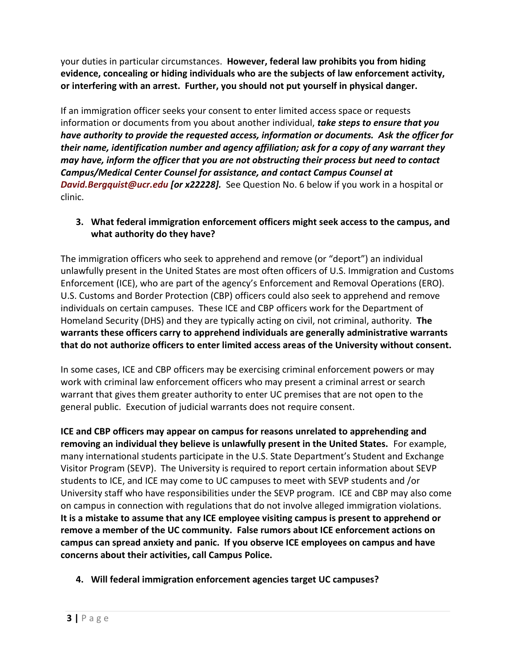your duties in particular circumstances. **However, federal law prohibits you from hiding evidence, concealing or hiding individuals who are the subjects of law enforcement activity, or interfering with an arrest. Further, you should not put yourself in physical danger.** 

If an immigration officer seeks your consent to enter limited access space or requests information or documents from you about another individual, *take steps to ensure that you have authority to provide the requested access, information or documents. Ask the officer for their name, identification number and agency affiliation; ask for a copy of any warrant they may have, inform the officer that you are not obstructing their process but need to contact Campus/Medical Center Counsel for assistance, and contact Campus Counsel at [David.Bergquist@ucr.edu](mailto:David.Bergquist@ucr.edu) [or x22228].* See Question No. 6 below if you work in a hospital or clinic.

## **3. What federal immigration enforcement officers might seek access to the campus, and what authority do they have?**

The immigration officers who seek to apprehend and remove (or "deport") an individual unlawfully present in the United States are most often officers of U.S. Immigration and Customs Enforcement (ICE), who are part of the agency's Enforcement and Removal Operations (ERO). U.S. Customs and Border Protection (CBP) officers could also seek to apprehend and remove individuals on certain campuses. These ICE and CBP officers work for the Department of Homeland Security (DHS) and they are typically acting on civil, not criminal, authority. **The warrants these officers carry to apprehend individuals are generally administrative warrants that do not authorize officers to enter limited access areas of the University without consent.**

In some cases, ICE and CBP officers may be exercising criminal enforcement powers or may work with criminal law enforcement officers who may present a criminal arrest or search warrant that gives them greater authority to enter UC premises that are not open to the general public. Execution of judicial warrants does not require consent.

**ICE and CBP officers may appear on campus for reasons unrelated to apprehending and removing an individual they believe is unlawfully present in the United States.** For example, many international students participate in the U.S. State Department's Student and Exchange Visitor Program (SEVP). The University is required to report certain information about SEVP students to ICE, and ICE may come to UC campuses to meet with SEVP students and /or University staff who have responsibilities under the SEVP program. ICE and CBP may also come on campus in connection with regulations that do not involve alleged immigration violations. **It is a mistake to assume that any ICE employee visiting campus is present to apprehend or remove a member of the UC community. False rumors about ICE enforcement actions on campus can spread anxiety and panic. If you observe ICE employees on campus and have concerns about their activities, call Campus Police.** 

**4. Will federal immigration enforcement agencies target UC campuses?**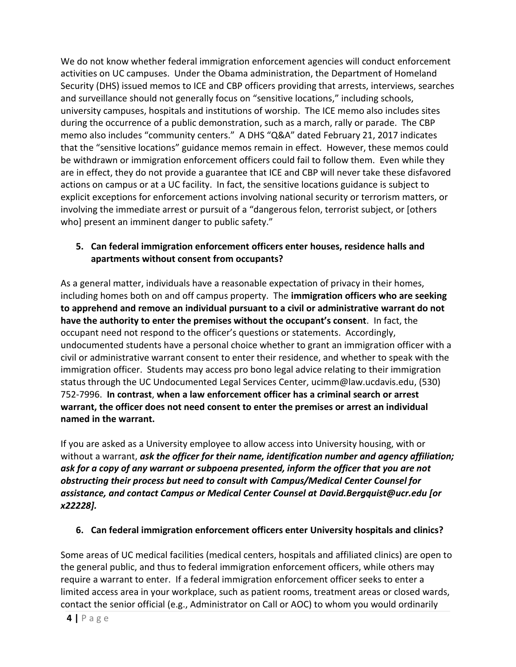We do not know whether federal immigration enforcement agencies will conduct enforcement activities on UC campuses. Under the Obama administration, the Department of Homeland Security (DHS) issued memos to ICE and CBP officers providing that arrests, interviews, searches and surveillance should not generally focus on "sensitive locations," including schools, university campuses, hospitals and institutions of worship. The ICE memo also includes sites during the occurrence of a public demonstration, such as a march, rally or parade. The CBP memo also includes "community centers." A DHS "Q&A" dated February 21, 2017 indicates that the "sensitive locations" guidance memos remain in effect. However, these memos could be withdrawn or immigration enforcement officers could fail to follow them. Even while they are in effect, they do not provide a guarantee that ICE and CBP will never take these disfavored actions on campus or at a UC facility. In fact, the sensitive locations guidance is subject to explicit exceptions for enforcement actions involving national security or terrorism matters, or involving the immediate arrest or pursuit of a "dangerous felon, terrorist subject, or [others who] present an imminent danger to public safety."

## **5. Can federal immigration enforcement officers enter houses, residence halls and apartments without consent from occupants?**

As a general matter, individuals have a reasonable expectation of privacy in their homes, including homes both on and off campus property. The **immigration officers who are seeking to apprehend and remove an individual pursuant to a civil or administrative warrant do not have the authority to enter the premises without the occupant's consent**. In fact, the occupant need not respond to the officer's questions or statements. Accordingly, undocumented students have a personal choice whether to grant an immigration officer with a civil or administrative warrant consent to enter their residence, and whether to speak with the immigration officer. Students may access pro bono legal advice relating to their immigration status through the UC Undocumented Legal Services Center, [ucimm@law.ucdavis.edu,](mailto:ucimm@law.ucdavis.edu) (530) 752-7996. **In contrast**, **when a law enforcement officer has a criminal search or arrest warrant, the officer does not need consent to enter the premises or arrest an individual named in the warrant.** 

If you are asked as a University employee to allow access into University housing, with or without a warrant, *ask the officer for their name, identification number and agency affiliation; ask for a copy of any warrant or subpoena presented, inform the officer that you are not obstructing their process but need to consult with Campus/Medical Center Counsel for assistance, and contact Campus or Medical Center Counsel at [David.Bergquist@ucr.edu](mailto:David.Bergquist@ucr.edu) [or x22228].*

## **6. Can federal immigration enforcement officers enter University hospitals and clinics?**

Some areas of UC medical facilities (medical centers, hospitals and affiliated clinics) are open to the general public, and thus to federal immigration enforcement officers, while others may require a warrant to enter. If a federal immigration enforcement officer seeks to enter a limited access area in your workplace, such as patient rooms, treatment areas or closed wards, contact the senior official (e.g., Administrator on Call or AOC) to whom you would ordinarily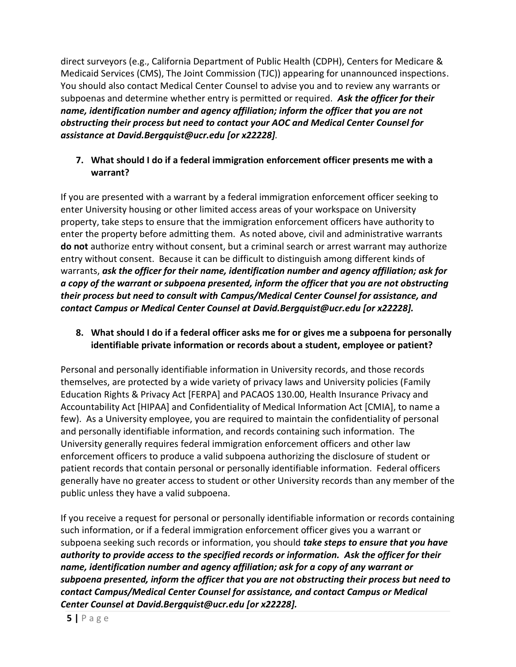direct surveyors (e.g., California Department of Public Health (CDPH), Centers for Medicare & Medicaid Services (CMS), The Joint Commission (TJC)) appearing for unannounced inspections. You should also contact Medical Center Counsel to advise you and to review any warrants or subpoenas and determine whether entry is permitted or required. *Ask the officer for their name, identification number and agency affiliation; inform the officer that you are not obstructing their process but need to contact your AOC and Medical Center Counsel for assistance at [David.Bergquist@ucr.edu](mailto:David.Bergquist@ucr.edu) [or x22228].*

#### **7. What should I do if a federal immigration enforcement officer presents me with a warrant?**

If you are presented with a warrant by a federal immigration enforcement officer seeking to enter University housing or other limited access areas of your workspace on University property, take steps to ensure that the immigration enforcement officers have authority to enter the property before admitting them. As noted above, civil and administrative warrants **do not** authorize entry without consent, but a criminal search or arrest warrant may authorize entry without consent. Because it can be difficult to distinguish among different kinds of warrants, *ask the officer for their name, identification number and agency affiliation; ask for a copy of the warrant or subpoena presented, inform the officer that you are not obstructing their process but need to consult with Campus/Medical Center Counsel for assistance, and contact Campus or Medical Center Counsel at [David.Bergquist@ucr.edu](mailto:David.Bergquist@ucr.edu) [or x22228].*

## **8. What should I do if a federal officer asks me for or gives me a subpoena for personally identifiable private information or records about a student, employee or patient?**

Personal and personally identifiable information in University records, and those records themselves, are protected by a wide variety of privacy laws and University policies (Family Education Rights & Privacy Act [FERPA] and PACAOS 130.00, Health Insurance Privacy and Accountability Act [HIPAA] and Confidentiality of Medical Information Act [CMIA], to name a few). As a University employee, you are required to maintain the confidentiality of personal and personally identifiable information, and records containing such information. The University generally requires federal immigration enforcement officers and other law enforcement officers to produce a valid subpoena authorizing the disclosure of student or patient records that contain personal or personally identifiable information. Federal officers generally have no greater access to student or other University records than any member of the public unless they have a valid subpoena.

If you receive a request for personal or personally identifiable information or records containing such information, or if a federal immigration enforcement officer gives you a warrant or subpoena seeking such records or information, you should *take steps to ensure that you have authority to provide access to the specified records or information. Ask the officer for their name, identification number and agency affiliation; ask for a copy of any warrant or subpoena presented, inform the officer that you are not obstructing their process but need to contact Campus/Medical Center Counsel for assistance, and contact Campus or Medical Center Counsel at [David.Bergquist@ucr.edu](mailto:David.Bergquist@ucr.edu) [or x22228].*